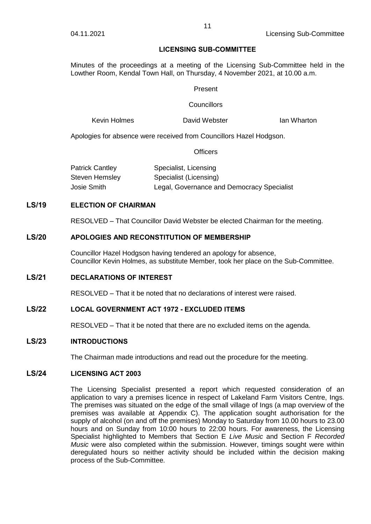### **LICENSING SUB-COMMITTEE**

Minutes of the proceedings at a meeting of the Licensing Sub-Committee held in the Lowther Room, Kendal Town Hall, on Thursday, 4 November 2021, at 10.00 a.m.

### Present

### **Councillors**

Kevin Holmes David Webster Ian Wharton

Apologies for absence were received from Councillors Hazel Hodgson.

**Officers** 

| <b>Patrick Cantley</b> | Specialist, Licensing                      |
|------------------------|--------------------------------------------|
| Steven Hemsley         | Specialist (Licensing)                     |
| Josie Smith            | Legal, Governance and Democracy Specialist |

# **LS/19 ELECTION OF CHAIRMAN**

RESOLVED – That Councillor David Webster be elected Chairman for the meeting.

## **LS/20 APOLOGIES AND RECONSTITUTION OF MEMBERSHIP**

Councillor Hazel Hodgson having tendered an apology for absence, Councillor Kevin Holmes, as substitute Member, took her place on the Sub-Committee.

# **LS/21 DECLARATIONS OF INTEREST**

RESOLVED – That it be noted that no declarations of interest were raised.

# **LS/22 LOCAL GOVERNMENT ACT 1972 - EXCLUDED ITEMS**

RESOLVED – That it be noted that there are no excluded items on the agenda.

# **LS/23 INTRODUCTIONS**

The Chairman made introductions and read out the procedure for the meeting.

# **LS/24 LICENSING ACT 2003**

The Licensing Specialist presented a report which requested consideration of an application to vary a premises licence in respect of Lakeland Farm Visitors Centre, Ings. The premises was situated on the edge of the small village of Ings (a map overview of the premises was available at Appendix C). The application sought authorisation for the supply of alcohol (on and off the premises) Monday to Saturday from 10.00 hours to 23.00 hours and on Sunday from 10:00 hours to 22:00 hours. For awareness, the Licensing Specialist highlighted to Members that Section E *Live Music* and Section F *Recorded Music* were also completed within the submission. However, timings sought were within deregulated hours so neither activity should be included within the decision making process of the Sub-Committee.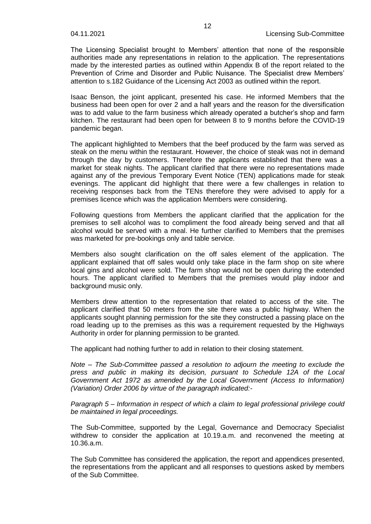The Licensing Specialist brought to Members' attention that none of the responsible authorities made any representations in relation to the application. The representations made by the interested parties as outlined within Appendix B of the report related to the Prevention of Crime and Disorder and Public Nuisance. The Specialist drew Members' attention to s.182 Guidance of the Licensing Act 2003 as outlined within the report.

Isaac Benson, the joint applicant, presented his case. He informed Members that the business had been open for over 2 and a half years and the reason for the diversification was to add value to the farm business which already operated a butcher's shop and farm kitchen. The restaurant had been open for between 8 to 9 months before the COVID-19 pandemic began.

The applicant highlighted to Members that the beef produced by the farm was served as steak on the menu within the restaurant. However, the choice of steak was not in demand through the day by customers. Therefore the applicants established that there was a market for steak nights. The applicant clarified that there were no representations made against any of the previous Temporary Event Notice (TEN) applications made for steak evenings. The applicant did highlight that there were a few challenges in relation to receiving responses back from the TENs therefore they were advised to apply for a premises licence which was the application Members were considering.

Following questions from Members the applicant clarified that the application for the premises to sell alcohol was to compliment the food already being served and that all alcohol would be served with a meal. He further clarified to Members that the premises was marketed for pre-bookings only and table service.

Members also sought clarification on the off sales element of the application. The applicant explained that off sales would only take place in the farm shop on site where local gins and alcohol were sold. The farm shop would not be open during the extended hours. The applicant clarified to Members that the premises would play indoor and background music only.

Members drew attention to the representation that related to access of the site. The applicant clarified that 50 meters from the site there was a public highway. When the applicants sought planning permission for the site they constructed a passing place on the road leading up to the premises as this was a requirement requested by the Highways Authority in order for planning permission to be granted.

The applicant had nothing further to add in relation to their closing statement.

*Note – The Sub-Committee passed a resolution to adjourn the meeting to exclude the press and public in making its decision, pursuant to Schedule 12A of the Local Government Act 1972 as amended by the Local Government (Access to Information) (Variation) Order 2006 by virtue of the paragraph indicated:-*

*Paragraph 5 – Information in respect of which a claim to legal professional privilege could be maintained in legal proceedings.*

The Sub-Committee, supported by the Legal, Governance and Democracy Specialist withdrew to consider the application at 10.19.a.m. and reconvened the meeting at 10.36.a.m.

The Sub Committee has considered the application, the report and appendices presented, the representations from the applicant and all responses to questions asked by members of the Sub Committee.